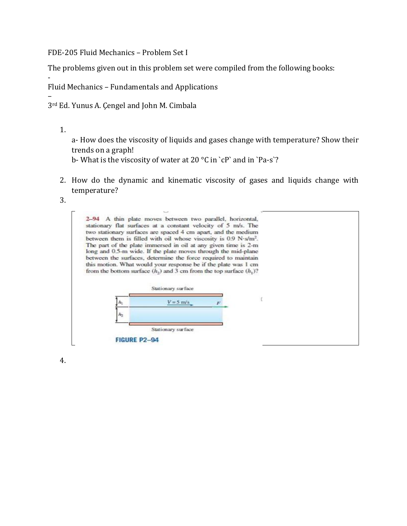FDE-205 Fluid Mechanics – Problem Set I

The problems given out in this problem set were compiled from the following books:

Fluid Mechanics – Fundamentals and Applications

– 3rd Ed. Yunus A. Çengel and John M. Cimbala

1.

-

a- How does the viscosity of liquids and gases change with temperature? Show their trends on a graph!

b- What is the viscosity of water at 20  $\mathrm{^{\circ}C}$  in `cP` and in `Pa-s`?

- 2. How do the dynamic and kinematic viscosity of gases and liquids change with temperature?
- 3.



4.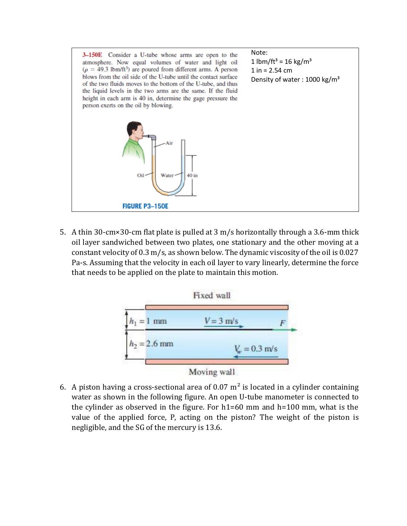

5. A thin 30-cm×30-cm flat plate is pulled at 3 m/s horizontally through a 3.6-mm thick oil layer sandwiched between two plates, one stationary and the other moving at a constant velocity of 0.3 m/s, as shown below. The dynamic viscosity of the oil is 0.027 Pa-s. Assuming that the velocity in each oil layer to vary linearly, determine the force that needs to be applied on the plate to maintain this motion.



6. A piston having a cross-sectional area of 0.07  $m<sup>2</sup>$  is located in a cylinder containing water as shown in the following figure. An open U-tube manometer is connected to the cylinder as observed in the figure. For h1=60 mm and h=100 mm, what is the value of the applied force, P, acting on the piston? The weight of the piston is negligible, and the SG of the mercury is 13.6.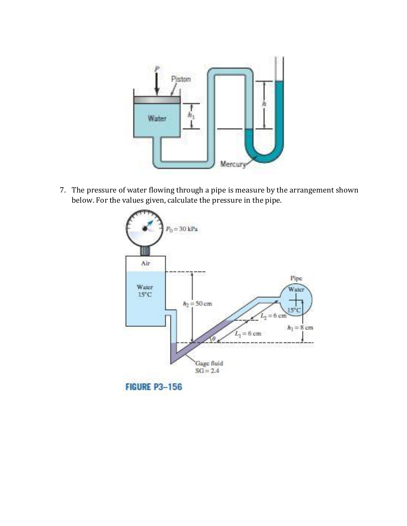

7. The pressure of water flowing through a pipe is measure by the arrangement shown below. For the values given, calculate the pressure in the pipe.

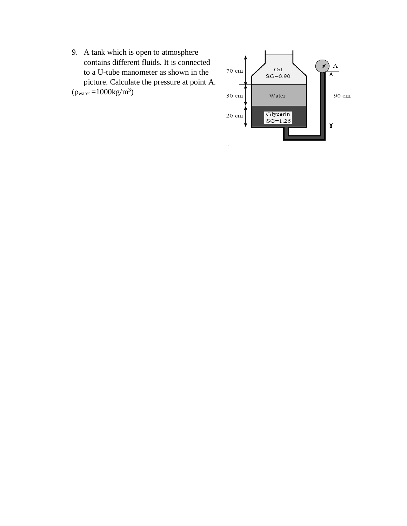9. A tank which is open to atmosphere contains different fluids. It is connected to a U-tube manometer as shown in the picture. Calculate the pressure at point A.  $(\rho_{\text{water}} = 1000 \text{kg/m}^3)$